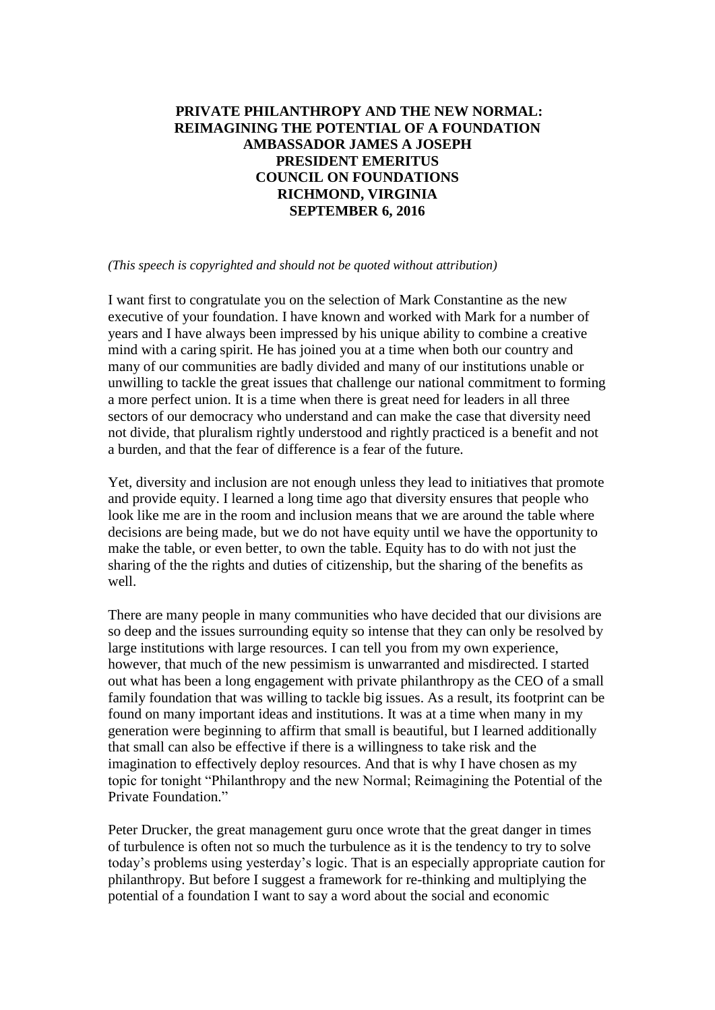# **PRIVATE PHILANTHROPY AND THE NEW NORMAL: REIMAGINING THE POTENTIAL OF A FOUNDATION AMBASSADOR JAMES A JOSEPH PRESIDENT EMERITUS COUNCIL ON FOUNDATIONS RICHMOND, VIRGINIA SEPTEMBER 6, 2016**

*(This speech is copyrighted and should not be quoted without attribution)*

I want first to congratulate you on the selection of Mark Constantine as the new executive of your foundation. I have known and worked with Mark for a number of years and I have always been impressed by his unique ability to combine a creative mind with a caring spirit. He has joined you at a time when both our country and many of our communities are badly divided and many of our institutions unable or unwilling to tackle the great issues that challenge our national commitment to forming a more perfect union. It is a time when there is great need for leaders in all three sectors of our democracy who understand and can make the case that diversity need not divide, that pluralism rightly understood and rightly practiced is a benefit and not a burden, and that the fear of difference is a fear of the future.

Yet, diversity and inclusion are not enough unless they lead to initiatives that promote and provide equity. I learned a long time ago that diversity ensures that people who look like me are in the room and inclusion means that we are around the table where decisions are being made, but we do not have equity until we have the opportunity to make the table, or even better, to own the table. Equity has to do with not just the sharing of the the rights and duties of citizenship, but the sharing of the benefits as well.

There are many people in many communities who have decided that our divisions are so deep and the issues surrounding equity so intense that they can only be resolved by large institutions with large resources. I can tell you from my own experience, however, that much of the new pessimism is unwarranted and misdirected. I started out what has been a long engagement with private philanthropy as the CEO of a small family foundation that was willing to tackle big issues. As a result, its footprint can be found on many important ideas and institutions. It was at a time when many in my generation were beginning to affirm that small is beautiful, but I learned additionally that small can also be effective if there is a willingness to take risk and the imagination to effectively deploy resources. And that is why I have chosen as my topic for tonight "Philanthropy and the new Normal; Reimagining the Potential of the Private Foundation."

Peter Drucker, the great management guru once wrote that the great danger in times of turbulence is often not so much the turbulence as it is the tendency to try to solve today's problems using yesterday's logic. That is an especially appropriate caution for philanthropy. But before I suggest a framework for re-thinking and multiplying the potential of a foundation I want to say a word about the social and economic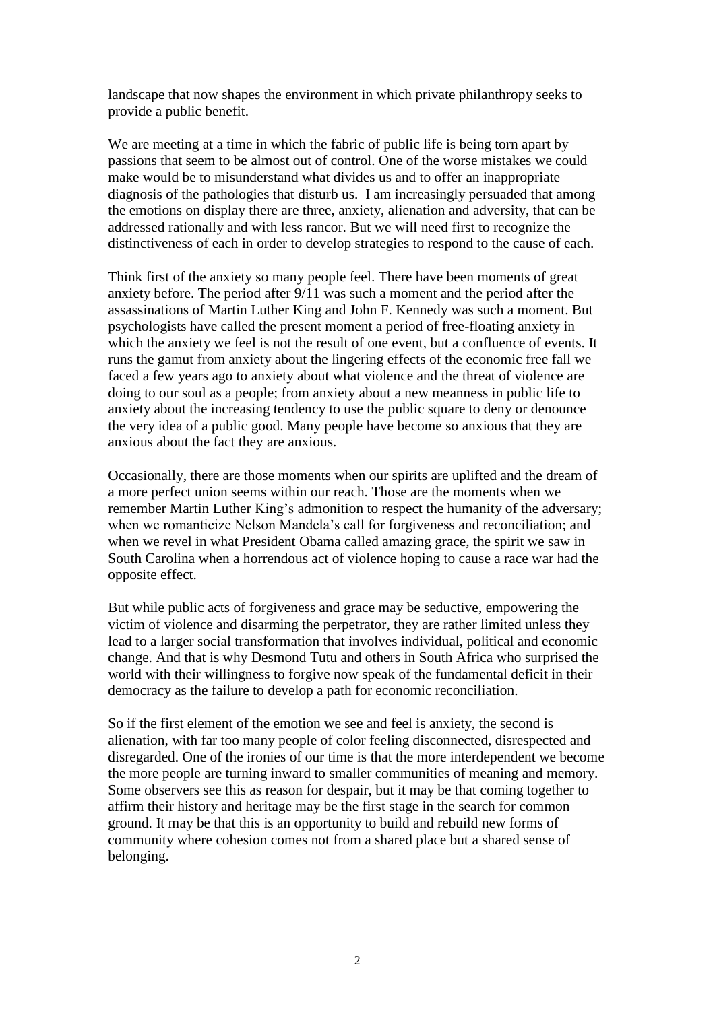landscape that now shapes the environment in which private philanthropy seeks to provide a public benefit.

We are meeting at a time in which the fabric of public life is being torn apart by passions that seem to be almost out of control. One of the worse mistakes we could make would be to misunderstand what divides us and to offer an inappropriate diagnosis of the pathologies that disturb us. I am increasingly persuaded that among the emotions on display there are three, anxiety, alienation and adversity, that can be addressed rationally and with less rancor. But we will need first to recognize the distinctiveness of each in order to develop strategies to respond to the cause of each.

Think first of the anxiety so many people feel. There have been moments of great anxiety before. The period after 9/11 was such a moment and the period after the assassinations of Martin Luther King and John F. Kennedy was such a moment. But psychologists have called the present moment a period of free-floating anxiety in which the anxiety we feel is not the result of one event, but a confluence of events. It runs the gamut from anxiety about the lingering effects of the economic free fall we faced a few years ago to anxiety about what violence and the threat of violence are doing to our soul as a people; from anxiety about a new meanness in public life to anxiety about the increasing tendency to use the public square to deny or denounce the very idea of a public good. Many people have become so anxious that they are anxious about the fact they are anxious.

Occasionally, there are those moments when our spirits are uplifted and the dream of a more perfect union seems within our reach. Those are the moments when we remember Martin Luther King's admonition to respect the humanity of the adversary; when we romanticize Nelson Mandela's call for forgiveness and reconciliation; and when we revel in what President Obama called amazing grace, the spirit we saw in South Carolina when a horrendous act of violence hoping to cause a race war had the opposite effect.

But while public acts of forgiveness and grace may be seductive, empowering the victim of violence and disarming the perpetrator, they are rather limited unless they lead to a larger social transformation that involves individual, political and economic change. And that is why Desmond Tutu and others in South Africa who surprised the world with their willingness to forgive now speak of the fundamental deficit in their democracy as the failure to develop a path for economic reconciliation.

So if the first element of the emotion we see and feel is anxiety, the second is alienation, with far too many people of color feeling disconnected, disrespected and disregarded. One of the ironies of our time is that the more interdependent we become the more people are turning inward to smaller communities of meaning and memory. Some observers see this as reason for despair, but it may be that coming together to affirm their history and heritage may be the first stage in the search for common ground. It may be that this is an opportunity to build and rebuild new forms of community where cohesion comes not from a shared place but a shared sense of belonging.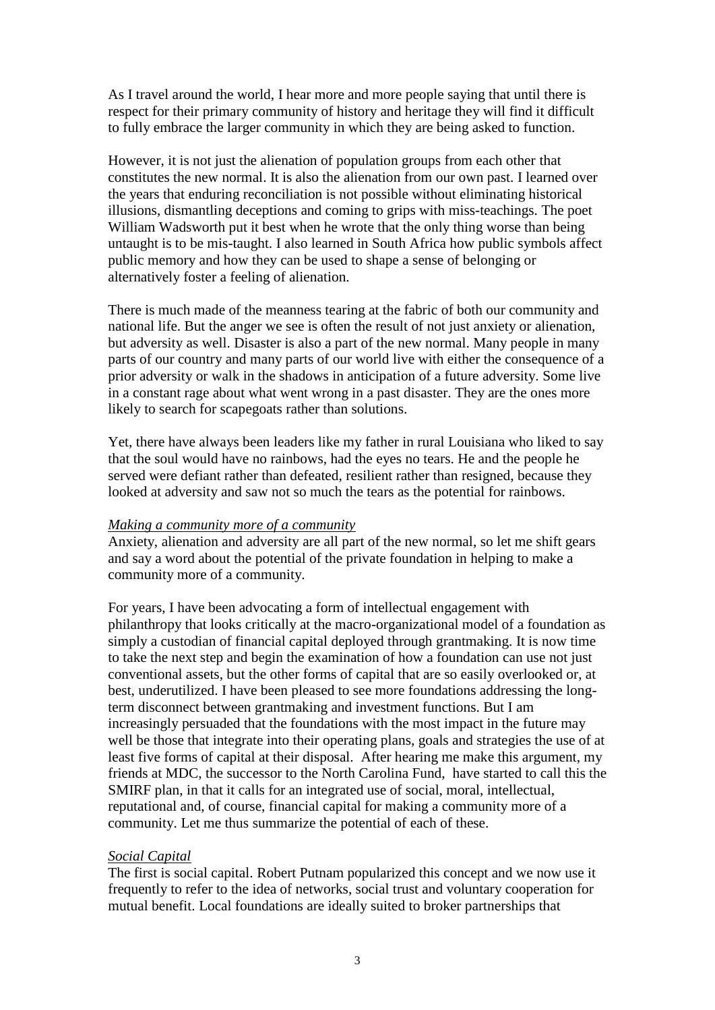As I travel around the world, I hear more and more people saying that until there is respect for their primary community of history and heritage they will find it difficult to fully embrace the larger community in which they are being asked to function.

However, it is not just the alienation of population groups from each other that constitutes the new normal. It is also the alienation from our own past. I learned over the years that enduring reconciliation is not possible without eliminating historical illusions, dismantling deceptions and coming to grips with miss-teachings. The poet William Wadsworth put it best when he wrote that the only thing worse than being untaught is to be mis-taught. I also learned in South Africa how public symbols affect public memory and how they can be used to shape a sense of belonging or alternatively foster a feeling of alienation.

There is much made of the meanness tearing at the fabric of both our community and national life. But the anger we see is often the result of not just anxiety or alienation, but adversity as well. Disaster is also a part of the new normal. Many people in many parts of our country and many parts of our world live with either the consequence of a prior adversity or walk in the shadows in anticipation of a future adversity. Some live in a constant rage about what went wrong in a past disaster. They are the ones more likely to search for scapegoats rather than solutions.

Yet, there have always been leaders like my father in rural Louisiana who liked to say that the soul would have no rainbows, had the eyes no tears. He and the people he served were defiant rather than defeated, resilient rather than resigned, because they looked at adversity and saw not so much the tears as the potential for rainbows.

## *Making a community more of a community*

Anxiety, alienation and adversity are all part of the new normal, so let me shift gears and say a word about the potential of the private foundation in helping to make a community more of a community.

For years, I have been advocating a form of intellectual engagement with philanthropy that looks critically at the macro-organizational model of a foundation as simply a custodian of financial capital deployed through grantmaking. It is now time to take the next step and begin the examination of how a foundation can use not just conventional assets, but the other forms of capital that are so easily overlooked or, at best, underutilized. I have been pleased to see more foundations addressing the longterm disconnect between grantmaking and investment functions. But I am increasingly persuaded that the foundations with the most impact in the future may well be those that integrate into their operating plans, goals and strategies the use of at least five forms of capital at their disposal. After hearing me make this argument, my friends at MDC, the successor to the North Carolina Fund, have started to call this the SMIRF plan, in that it calls for an integrated use of social, moral, intellectual, reputational and, of course, financial capital for making a community more of a community. Let me thus summarize the potential of each of these.

## *Social Capital*

The first is social capital. Robert Putnam popularized this concept and we now use it frequently to refer to the idea of networks, social trust and voluntary cooperation for mutual benefit. Local foundations are ideally suited to broker partnerships that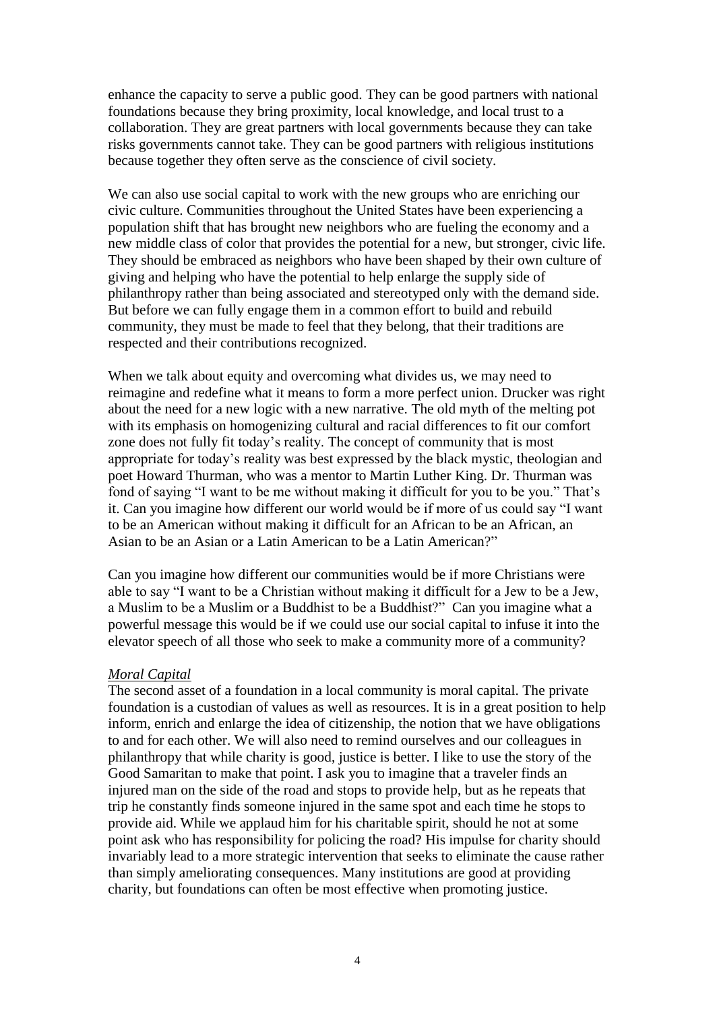enhance the capacity to serve a public good. They can be good partners with national foundations because they bring proximity, local knowledge, and local trust to a collaboration. They are great partners with local governments because they can take risks governments cannot take. They can be good partners with religious institutions because together they often serve as the conscience of civil society.

We can also use social capital to work with the new groups who are enriching our civic culture. Communities throughout the United States have been experiencing a population shift that has brought new neighbors who are fueling the economy and a new middle class of color that provides the potential for a new, but stronger, civic life. They should be embraced as neighbors who have been shaped by their own culture of giving and helping who have the potential to help enlarge the supply side of philanthropy rather than being associated and stereotyped only with the demand side. But before we can fully engage them in a common effort to build and rebuild community, they must be made to feel that they belong, that their traditions are respected and their contributions recognized.

When we talk about equity and overcoming what divides us, we may need to reimagine and redefine what it means to form a more perfect union. Drucker was right about the need for a new logic with a new narrative. The old myth of the melting pot with its emphasis on homogenizing cultural and racial differences to fit our comfort zone does not fully fit today's reality. The concept of community that is most appropriate for today's reality was best expressed by the black mystic, theologian and poet Howard Thurman, who was a mentor to Martin Luther King. Dr. Thurman was fond of saying "I want to be me without making it difficult for you to be you." That's it. Can you imagine how different our world would be if more of us could say "I want to be an American without making it difficult for an African to be an African, an Asian to be an Asian or a Latin American to be a Latin American?"

Can you imagine how different our communities would be if more Christians were able to say "I want to be a Christian without making it difficult for a Jew to be a Jew, a Muslim to be a Muslim or a Buddhist to be a Buddhist?" Can you imagine what a powerful message this would be if we could use our social capital to infuse it into the elevator speech of all those who seek to make a community more of a community?

#### *Moral Capital*

The second asset of a foundation in a local community is moral capital. The private foundation is a custodian of values as well as resources. It is in a great position to help inform, enrich and enlarge the idea of citizenship, the notion that we have obligations to and for each other. We will also need to remind ourselves and our colleagues in philanthropy that while charity is good, justice is better. I like to use the story of the Good Samaritan to make that point. I ask you to imagine that a traveler finds an injured man on the side of the road and stops to provide help, but as he repeats that trip he constantly finds someone injured in the same spot and each time he stops to provide aid. While we applaud him for his charitable spirit, should he not at some point ask who has responsibility for policing the road? His impulse for charity should invariably lead to a more strategic intervention that seeks to eliminate the cause rather than simply ameliorating consequences. Many institutions are good at providing charity, but foundations can often be most effective when promoting justice.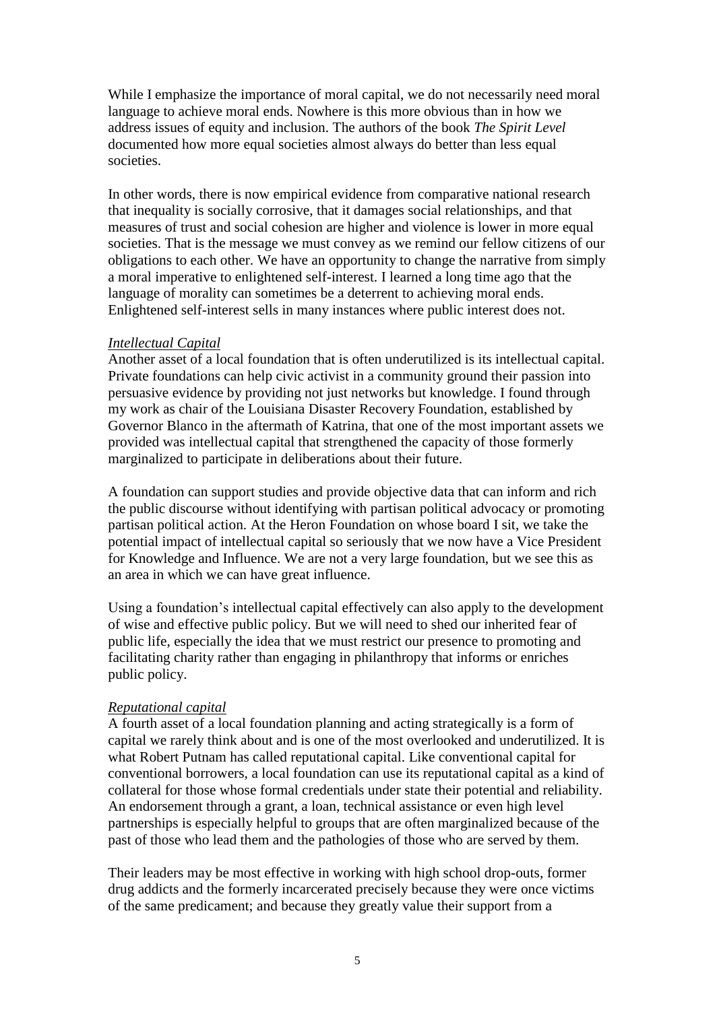While I emphasize the importance of moral capital, we do not necessarily need moral language to achieve moral ends. Nowhere is this more obvious than in how we address issues of equity and inclusion. The authors of the book *The Spirit Level*  documented how more equal societies almost always do better than less equal societies.

In other words, there is now empirical evidence from comparative national research that inequality is socially corrosive, that it damages social relationships, and that measures of trust and social cohesion are higher and violence is lower in more equal societies. That is the message we must convey as we remind our fellow citizens of our obligations to each other. We have an opportunity to change the narrative from simply a moral imperative to enlightened self-interest. I learned a long time ago that the language of morality can sometimes be a deterrent to achieving moral ends. Enlightened self-interest sells in many instances where public interest does not.

## *Intellectual Capital*

Another asset of a local foundation that is often underutilized is its intellectual capital. Private foundations can help civic activist in a community ground their passion into persuasive evidence by providing not just networks but knowledge. I found through my work as chair of the Louisiana Disaster Recovery Foundation, established by Governor Blanco in the aftermath of Katrina, that one of the most important assets we provided was intellectual capital that strengthened the capacity of those formerly marginalized to participate in deliberations about their future.

A foundation can support studies and provide objective data that can inform and rich the public discourse without identifying with partisan political advocacy or promoting partisan political action. At the Heron Foundation on whose board I sit, we take the potential impact of intellectual capital so seriously that we now have a Vice President for Knowledge and Influence. We are not a very large foundation, but we see this as an area in which we can have great influence.

Using a foundation's intellectual capital effectively can also apply to the development of wise and effective public policy. But we will need to shed our inherited fear of public life, especially the idea that we must restrict our presence to promoting and facilitating charity rather than engaging in philanthropy that informs or enriches public policy.

## *Reputational capital*

A fourth asset of a local foundation planning and acting strategically is a form of capital we rarely think about and is one of the most overlooked and underutilized. It is what Robert Putnam has called reputational capital. Like conventional capital for conventional borrowers, a local foundation can use its reputational capital as a kind of collateral for those whose formal credentials under state their potential and reliability. An endorsement through a grant, a loan, technical assistance or even high level partnerships is especially helpful to groups that are often marginalized because of the past of those who lead them and the pathologies of those who are served by them.

Their leaders may be most effective in working with high school drop-outs, former drug addicts and the formerly incarcerated precisely because they were once victims of the same predicament; and because they greatly value their support from a